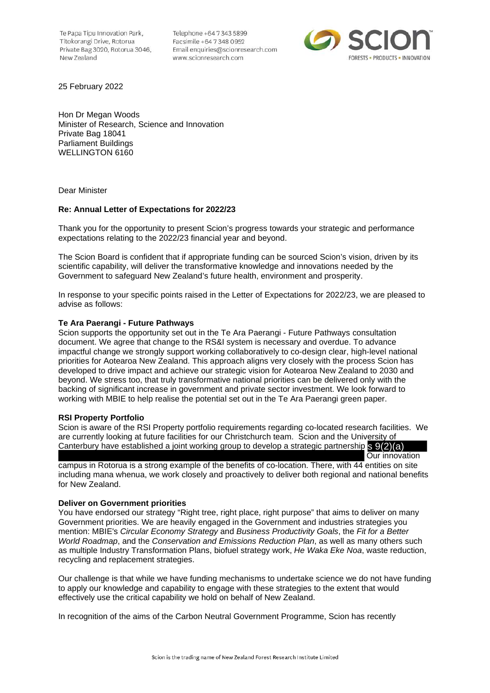Te Papa Tipu Innovation Park. Tītokorangi Drive, Rotorua Private Bag 3020, Rotorua 3046, New Zealand

Telephone +64 7 343 5899 Facsimile +64 7 348 0952 Email enquiries@scionresearch.com www.scionresearch.com



25 February 2022

Hon Dr Megan Woods Minister of Research, Science and Innovation Private Bag 18041 Parliament Buildings WELLINGTON 6160

Dear Minister

# **Re: Annual Letter of Expectations for 2022/23**

Thank you for the opportunity to present Scion's progress towards your strategic and performance expectations relating to the 2022/23 financial year and beyond.

The Scion Board is confident that if appropriate funding can be sourced Scion's vision, driven by its scientific capability, will deliver the transformative knowledge and innovations needed by the Government to safeguard New Zealand's future health, environment and prosperity.

In response to your specific points raised in the Letter of Expectations for 2022/23, we are pleased to advise as follows:

# **Te Ara Paerangi - Future Pathways**

Scion supports the opportunity set out in the Te Ara Paerangi - Future Pathways consultation document. We agree that change to the RS&I system is necessary and overdue. To advance impactful change we strongly support working collaboratively to co-design clear, high-level national priorities for Aotearoa New Zealand. This approach aligns very closely with the process Scion has developed to drive impact and achieve our strategic vision for Aotearoa New Zealand to 2030 and beyond. We stress too, that truly transformative national priorities can be delivered only with the backing of significant increase in government and private sector investment. We look forward to working with MBIE to help realise the potential set out in the Te Ara Paerangi green paper.

# **RSI Property Portfolio**

Scion is aware of the RSI Property portfolio requirements regarding co-located research facilities. We are currently looking at future facilities for our Christchurch team. Scion and the University of Canterbury have established a joint working group to develop a strategic partnership S 9(2)(a)

 Our innovation campus in Rotorua is a strong example of the benefits of co-location. There, with 44 entities on site including mana whenua, we work closely and proactively to deliver both regional and national benefits for New Zealand.

# **Deliver on Government priorities**

You have endorsed our strategy "Right tree, right place, right purpose" that aims to deliver on many Government priorities. We are heavily engaged in the Government and industries strategies you mention: MBIE's *Circular Economy Strategy* and *Business Productivity Goals*, the *Fit for a Better World Roadmap*, and the *Conservation and Emissions Reduction Plan*, as well as many others such as multiple Industry Transformation Plans, biofuel strategy work, *He Waka Eke Noa*, waste reduction, recycling and replacement strategies.

Our challenge is that while we have funding mechanisms to undertake science we do not have funding to apply our knowledge and capability to engage with these strategies to the extent that would effectively use the critical capability we hold on behalf of New Zealand.

In recognition of the aims of the Carbon Neutral Government Programme, Scion has recently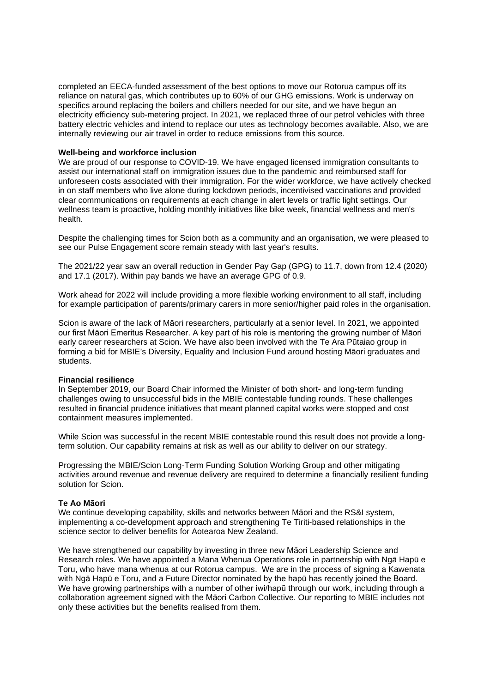completed an EECA-funded assessment of the best options to move our Rotorua campus off its reliance on natural gas, which contributes up to 60% of our GHG emissions. Work is underway on specifics around replacing the boilers and chillers needed for our site, and we have begun an electricity efficiency sub-metering project. In 2021, we replaced three of our petrol vehicles with three battery electric vehicles and intend to replace our utes as technology becomes available. Also, we are internally reviewing our air travel in order to reduce emissions from this source.

### **Well-being and workforce inclusion**

We are proud of our response to COVID-19. We have engaged licensed immigration consultants to assist our international staff on immigration issues due to the pandemic and reimbursed staff for unforeseen costs associated with their immigration. For the wider workforce, we have actively checked in on staff members who live alone during lockdown periods, incentivised vaccinations and provided clear communications on requirements at each change in alert levels or traffic light settings. Our wellness team is proactive, holding monthly initiatives like bike week, financial wellness and men's health.

Despite the challenging times for Scion both as a community and an organisation, we were pleased to see our Pulse Engagement score remain steady with last year's results.

The 2021/22 year saw an overall reduction in Gender Pay Gap (GPG) to 11.7, down from 12.4 (2020) and 17.1 (2017). Within pay bands we have an average GPG of 0.9.

Work ahead for 2022 will include providing a more flexible working environment to all staff, including for example participation of parents/primary carers in more senior/higher paid roles in the organisation.

Scion is aware of the lack of Māori researchers, particularly at a senior level. In 2021, we appointed our first Māori Emeritus Researcher. A key part of his role is mentoring the growing number of Māori early career researchers at Scion. We have also been involved with the Te Ara Pūtaiao group in forming a bid for MBIE's Diversity, Equality and Inclusion Fund around hosting Māori graduates and students.

#### **Financial resilience**

In September 2019, our Board Chair informed the Minister of both short- and long-term funding challenges owing to unsuccessful bids in the MBIE contestable funding rounds. These challenges resulted in financial prudence initiatives that meant planned capital works were stopped and cost containment measures implemented.

While Scion was successful in the recent MBIE contestable round this result does not provide a longterm solution. Our capability remains at risk as well as our ability to deliver on our strategy.

Progressing the MBIE/Scion Long-Term Funding Solution Working Group and other mitigating activities around revenue and revenue delivery are required to determine a financially resilient funding solution for Scion.

# **Te Ao Māori**

We continue developing capability, skills and networks between Māori and the RS&I system, implementing a co-development approach and strengthening Te Tiriti-based relationships in the science sector to deliver benefits for Aotearoa New Zealand.

We have strengthened our capability by investing in three new Māori Leadership Science and Research roles. We have appointed a Mana Whenua Operations role in partnership with Ngā Hapū e Toru, who have mana whenua at our Rotorua campus. We are in the process of signing a Kawenata with Ngā Hapū e Toru, and a Future Director nominated by the hapū has recently joined the Board. We have growing partnerships with a number of other iwi/hapū through our work, including through a collaboration agreement signed with the Māori Carbon Collective. Our reporting to MBIE includes not only these activities but the benefits realised from them.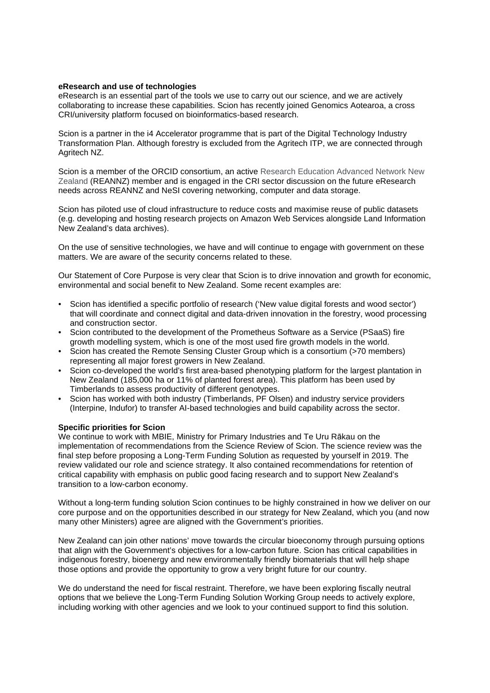# **eResearch and use of technologies**

eResearch is an essential part of the tools we use to carry out our science, and we are actively collaborating to increase these capabilities. Scion has recently joined Genomics Aotearoa, a cross CRI/university platform focused on bioinformatics-based research.

Scion is a partner in the i4 Accelerator programme that is part of the Digital Technology Industry Transformation Plan. Although forestry is excluded from the Agritech ITP, we are connected through Agritech NZ.

Scion is a member of the ORCID consortium, an active Research Education Advanced Network New Zealand (REANNZ) member and is engaged in the CRI sector discussion on the future eResearch needs across REANNZ and NeSI covering networking, computer and data storage.

Scion has piloted use of cloud infrastructure to reduce costs and maximise reuse of public datasets (e.g. developing and hosting research projects on Amazon Web Services alongside Land Information New Zealand's data archives).

On the use of sensitive technologies, we have and will continue to engage with government on these matters. We are aware of the security concerns related to these.

Our Statement of Core Purpose is very clear that Scion is to drive innovation and growth for economic, environmental and social benefit to New Zealand. Some recent examples are:

- Scion has identified a specific portfolio of research ('New value digital forests and wood sector') that will coordinate and connect digital and data-driven innovation in the forestry, wood processing and construction sector.
- Scion contributed to the development of the Prometheus Software as a Service (PSaaS) fire growth modelling system, which is one of the most used fire growth models in the world.
- Scion has created the Remote Sensing Cluster Group which is a consortium (>70 members) representing all major forest growers in New Zealand.
- Scion co-developed the world's first area-based phenotyping platform for the largest plantation in New Zealand (185,000 ha or 11% of planted forest area). This platform has been used by Timberlands to assess productivity of different genotypes.
- Scion has worked with both industry (Timberlands, PF Olsen) and industry service providers (Interpine, Indufor) to transfer AI-based technologies and build capability across the sector.

# **Specific priorities for Scion**

We continue to work with MBIE, Ministry for Primary Industries and Te Uru Rākau on the implementation of recommendations from the Science Review of Scion. The science review was the final step before proposing a Long-Term Funding Solution as requested by yourself in 2019. The review validated our role and science strategy. It also contained recommendations for retention of critical capability with emphasis on public good facing research and to support New Zealand's transition to a low-carbon economy.

Without a long-term funding solution Scion continues to be highly constrained in how we deliver on our core purpose and on the opportunities described in our strategy for New Zealand, which you (and now many other Ministers) agree are aligned with the Government's priorities.

New Zealand can join other nations' move towards the circular bioeconomy through pursuing options that align with the Government's objectives for a low-carbon future. Scion has critical capabilities in indigenous forestry, bioenergy and new environmentally friendly biomaterials that will help shape those options and provide the opportunity to grow a very bright future for our country.

We do understand the need for fiscal restraint. Therefore, we have been exploring fiscally neutral options that we believe the Long-Term Funding Solution Working Group needs to actively explore, including working with other agencies and we look to your continued support to find this solution.